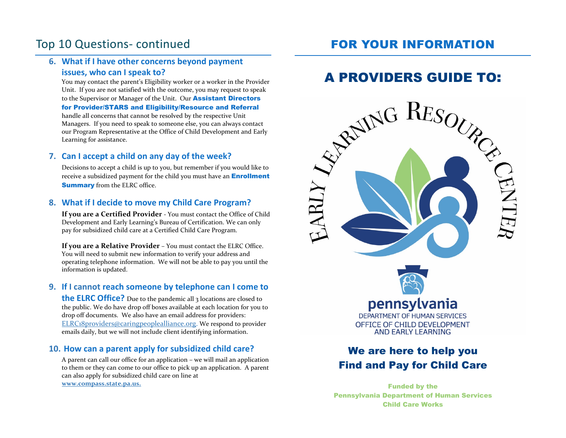## Top 10 Questions- continued

### **6. What if I have other concerns beyond payment issues, who can I speak to?**

You may contact the parent's Eligibility worker or a worker in the Provider Unit. If you are not satisfied with the outcome, you may request to speak to the Supervisor or Manager of the Unit. Our **Assistant Directors** for Provider/STARS and Eligibility/Resource and Referral handle all concerns that cannot be resolved by the respective Unit Managers. If you need to speak to someone else, you can always contact our Program Representative at the Office of Child Development and Early Learning for assistance.

### **7. Can I accept a child on any day of the week?**

Decisions to accept a child is up to you, but remember if you would like to receive a subsidized payment for the child you must have an **Enrollment Summary** from the ELRC office.

### **8. What if I decide to move my Child Care Program?**

**If you are a Certified Provider** - You must contact the Office of Child Development and Early Learning's Bureau of Certification. We can only pay for subsidized child care at a Certified Child Care Program.

**If you are a Relative Provider** – You must contact the ELRC Office. You will need to submit new information to verify your address and operating telephone information. We will not be able to pay you until the information is updated.

### **9. If I cannot reach someone by telephone can I come to**

**the ELRC Office?** Due to the pandemic all 3 locations are closed to the public. We do have drop off boxes available at each location for you to drop off documents. We also have an email address for providers: [ELRC18providers@caringpeoplealliance.org.](mailto:ELRC18providers@caringpeoplealliance.org) We respond to provider emails daily, but we will not include client identifying information.

### **10. How can a parent apply for subsidized child care?**

A parent can call our office for an application – we will mail an application to them or they can come to our office to pick up an application. A parent can also apply for subsidized child care on line at **[www.compass.state.pa.us.](http://www.compass.state.pa.us/)**

### FOR YOUR INFORMATION

# A PROVIDERS GUIDE TO:



### We are here to help you Find and Pay for Child Care

Funded by the Pennsylvania Department of Human Services Child Care Works